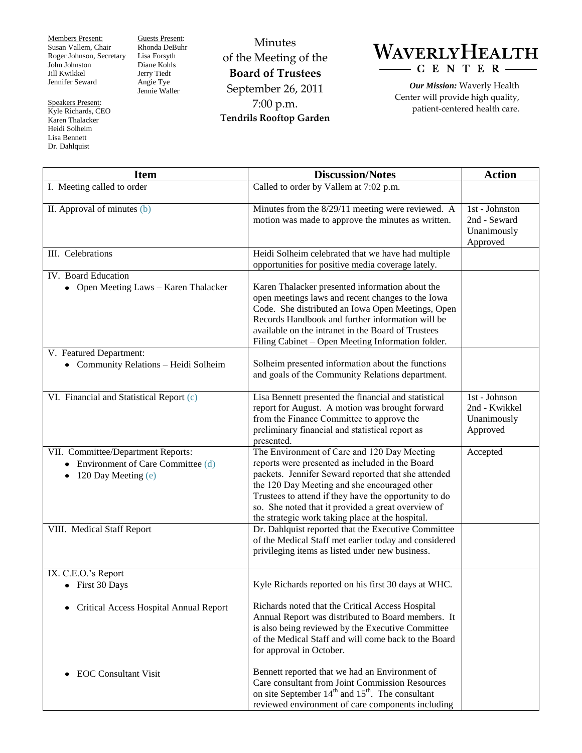Members Present: Susan Vallem, Chair Roger Johnson, Secretary John Johnston Jill Kwikkel Jennifer Seward

Speakers Present: Kyle Richards, CEO Karen Thalacker Heidi Solheim Lisa Bennett Dr. Dahlquist

Guests Present: Rhonda DeBuhr Lisa Forsyth Diane Kohls Jerry Tiedt Angie Tye Jennie Waller

Minutes of the Meeting of the **Board of Trustees** September 26, 2011 7:00 p.m. **Tendrils Rooftop Garden**



*Our Mission:* Waverly Health Center will provide high quality, patient-centered health care.

| <b>Item</b>                                                                                                      | <b>Discussion/Notes</b>                                                                                                                                                                                                                                                                                                                                                  | <b>Action</b>                                             |
|------------------------------------------------------------------------------------------------------------------|--------------------------------------------------------------------------------------------------------------------------------------------------------------------------------------------------------------------------------------------------------------------------------------------------------------------------------------------------------------------------|-----------------------------------------------------------|
| I. Meeting called to order                                                                                       | Called to order by Vallem at 7:02 p.m.                                                                                                                                                                                                                                                                                                                                   |                                                           |
| II. Approval of minutes (b)                                                                                      | Minutes from the 8/29/11 meeting were reviewed. A<br>motion was made to approve the minutes as written.                                                                                                                                                                                                                                                                  | 1st - Johnston<br>2nd - Seward<br>Unanimously<br>Approved |
| III. Celebrations                                                                                                | Heidi Solheim celebrated that we have had multiple<br>opportunities for positive media coverage lately.                                                                                                                                                                                                                                                                  |                                                           |
| IV. Board Education<br>• Open Meeting Laws - Karen Thalacker                                                     | Karen Thalacker presented information about the<br>open meetings laws and recent changes to the Iowa<br>Code. She distributed an Iowa Open Meetings, Open<br>Records Handbook and further information will be<br>available on the intranet in the Board of Trustees<br>Filing Cabinet - Open Meeting Information folder.                                                 |                                                           |
| V. Featured Department:<br>• Community Relations - Heidi Solheim                                                 | Solheim presented information about the functions<br>and goals of the Community Relations department.                                                                                                                                                                                                                                                                    |                                                           |
| VI. Financial and Statistical Report (c)                                                                         | Lisa Bennett presented the financial and statistical<br>report for August. A motion was brought forward<br>from the Finance Committee to approve the<br>preliminary financial and statistical report as<br>presented.                                                                                                                                                    | 1st - Johnson<br>2nd - Kwikkel<br>Unanimously<br>Approved |
| VII. Committee/Department Reports:<br>Environment of Care Committee (d)<br>٠<br>120 Day Meeting (e)<br>$\bullet$ | The Environment of Care and 120 Day Meeting<br>reports were presented as included in the Board<br>packets. Jennifer Seward reported that she attended<br>the 120 Day Meeting and she encouraged other<br>Trustees to attend if they have the opportunity to do<br>so. She noted that it provided a great overview of<br>the strategic work taking place at the hospital. | Accepted                                                  |
| VIII. Medical Staff Report                                                                                       | Dr. Dahlquist reported that the Executive Committee<br>of the Medical Staff met earlier today and considered<br>privileging items as listed under new business.                                                                                                                                                                                                          |                                                           |
| IX. C.E.O.'s Report<br>• First 30 Days                                                                           | Kyle Richards reported on his first 30 days at WHC.                                                                                                                                                                                                                                                                                                                      |                                                           |
| Critical Access Hospital Annual Report<br>٠                                                                      | Richards noted that the Critical Access Hospital<br>Annual Report was distributed to Board members. It<br>is also being reviewed by the Executive Committee<br>of the Medical Staff and will come back to the Board<br>for approval in October.                                                                                                                          |                                                           |
| <b>EOC</b> Consultant Visit<br>٠                                                                                 | Bennett reported that we had an Environment of<br>Care consultant from Joint Commission Resources<br>on site September 14 <sup>th</sup> and 15 <sup>th</sup> . The consultant<br>reviewed environment of care components including                                                                                                                                       |                                                           |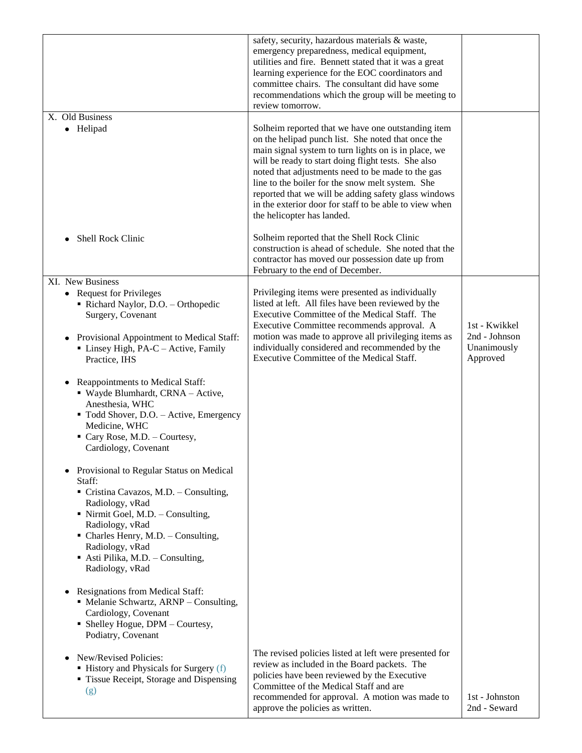|                                                                                                                                                                                                                                                                                                                 | safety, security, hazardous materials & waste,<br>emergency preparedness, medical equipment,<br>utilities and fire. Bennett stated that it was a great<br>learning experience for the EOC coordinators and<br>committee chairs. The consultant did have some<br>recommendations which the group will be meeting to<br>review tomorrow.                                                                                                                                           |                                          |
|-----------------------------------------------------------------------------------------------------------------------------------------------------------------------------------------------------------------------------------------------------------------------------------------------------------------|----------------------------------------------------------------------------------------------------------------------------------------------------------------------------------------------------------------------------------------------------------------------------------------------------------------------------------------------------------------------------------------------------------------------------------------------------------------------------------|------------------------------------------|
| X. Old Business<br>• Helipad                                                                                                                                                                                                                                                                                    | Solheim reported that we have one outstanding item<br>on the helipad punch list. She noted that once the<br>main signal system to turn lights on is in place, we<br>will be ready to start doing flight tests. She also<br>noted that adjustments need to be made to the gas<br>line to the boiler for the snow melt system. She<br>reported that we will be adding safety glass windows<br>in the exterior door for staff to be able to view when<br>the helicopter has landed. |                                          |
| Shell Rock Clinic                                                                                                                                                                                                                                                                                               | Solheim reported that the Shell Rock Clinic<br>construction is ahead of schedule. She noted that the<br>contractor has moved our possession date up from<br>February to the end of December.                                                                                                                                                                                                                                                                                     |                                          |
| XI. New Business<br>• Request for Privileges<br>Richard Naylor, D.O. - Orthopedic<br>Surgery, Covenant                                                                                                                                                                                                          | Privileging items were presented as individually<br>listed at left. All files have been reviewed by the<br>Executive Committee of the Medical Staff. The<br>Executive Committee recommends approval. A                                                                                                                                                                                                                                                                           | 1st - Kwikkel                            |
| Provisional Appointment to Medical Staff:<br>• Linsey High, PA-C - Active, Family<br>Practice, IHS                                                                                                                                                                                                              | motion was made to approve all privileging items as<br>individually considered and recommended by the<br>Executive Committee of the Medical Staff.                                                                                                                                                                                                                                                                                                                               | 2nd - Johnson<br>Unanimously<br>Approved |
| Reappointments to Medical Staff:<br>" Wayde Blumhardt, CRNA - Active,<br>Anesthesia, WHC<br>" Todd Shover, D.O. - Active, Emergency<br>Medicine, WHC<br>Cary Rose, M.D. - Courtesy,<br>Cardiology, Covenant                                                                                                     |                                                                                                                                                                                                                                                                                                                                                                                                                                                                                  |                                          |
| Provisional to Regular Status on Medical<br>Staff:<br>Cristina Cavazos, M.D. - Consulting,<br>Radiology, vRad<br>$\blacksquare$ Nirmit Goel, M.D. – Consulting,<br>Radiology, vRad<br>$\blacksquare$ Charles Henry, M.D. - Consulting,<br>Radiology, vRad<br>Asti Pilika, M.D. - Consulting,<br>Radiology, vRad |                                                                                                                                                                                                                                                                                                                                                                                                                                                                                  |                                          |
| Resignations from Medical Staff:<br>٠<br>• Melanie Schwartz, ARNP - Consulting,<br>Cardiology, Covenant<br>• Shelley Hogue, DPM - Courtesy,<br>Podiatry, Covenant                                                                                                                                               |                                                                                                                                                                                                                                                                                                                                                                                                                                                                                  |                                          |
| New/Revised Policies:<br>• History and Physicals for Surgery (f)<br>• Tissue Receipt, Storage and Dispensing<br>(g)                                                                                                                                                                                             | The revised policies listed at left were presented for<br>review as included in the Board packets. The<br>policies have been reviewed by the Executive<br>Committee of the Medical Staff and are<br>recommended for approval. A motion was made to<br>approve the policies as written.                                                                                                                                                                                           | 1st - Johnston<br>2nd - Seward           |